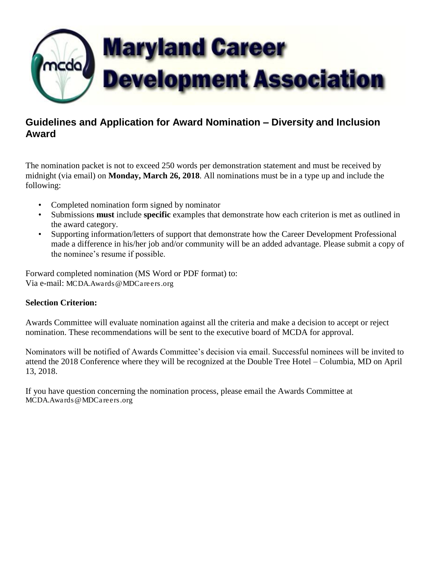

# **Guidelines and Application for Award Nomination – Diversity and Inclusion Award**

The nomination packet is not to exceed 250 words per demonstration statement and must be received by midnight (via email) on **Monday, March 26, 2018**. All nominations must be in a type up and include the following:

- Completed nomination form signed by nominator
- Submissions **must** include **specific** examples that demonstrate how each criterion is met as outlined in the award category.
- Supporting information/letters of support that demonstrate how the Career Development Professional made a difference in his/her job and/or community will be an added advantage. Please submit a copy of the nominee's resume if possible.

Forward completed nomination (MS Word or PDF format) to: Via e-mail: [MCDA.Awards@MDCareers.org](mailto:MCDA.Awards@MDCareers.org)

# **Selection Criterion:**

Awards Committee will evaluate nomination against all the criteria and make a decision to accept or reject nomination. These recommendations will be sent to the executive board of MCDA for approval.

Nominators will be notified of Awards Committee's decision via email. Successful nominees will be invited to attend the 2018 Conference where they will be recognized at the Double Tree Hotel – Columbia, MD on April 13, 2018.

If you have question concerning the nomination process, please email the Awards Committee at [MCDA.Awards@MDCareers.org](mailto:MCDA.Awards@MDCareers.org)